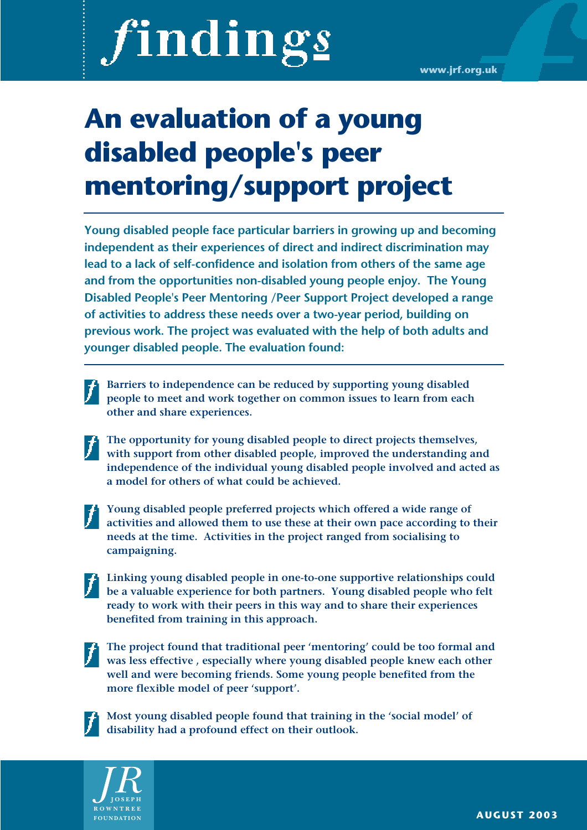# findings

## **An evaluation of a young disabled people's peer mentoring/support project**

**Young disabled people face particular barriers in growing up and becoming independent as their experiences of direct and indirect discrimination may lead to a lack of self-confidence and isolation from others of the same age and from the opportunities non-disabled young people enjoy. The Young Disabled People's Peer Mentoring /Peer Support Project developed a range of activities to address these needs over a two-year period, building on previous work. The project was evaluated with the help of both adults and younger disabled people. The evaluation found:**

- **Barriers to independence can be reduced by supporting young disabled people to meet and work together on common issues to learn from each other and share experiences.**
- **The opportunity for young disabled people to direct projects themselves, with support from other disabled people, improved the understanding and independence of the individual young disabled people involved and acted as a model for others of what could be achieved.**
- 

**Young disabled people preferred projects which offered a wide range of activities and allowed them to use these at their own pace according to their needs at the time. Activities in the project ranged from socialising to campaigning.**

- **Linking young disabled people in one-to-one supportive relationships could be a valuable experience for both partners. Young disabled people who felt ready to work with their peers in this way and to share their experiences benefited from training in this approach.**
- 

**The project found that traditional peer 'mentoring' could be too formal and was less effective , especially where young disabled people knew each other well and were becoming friends. Some young people benefited from the more flexible model of peer 'support'.**



**Most young disabled people found that training in the 'social model' of disability had a profound effect on their outlook.** 

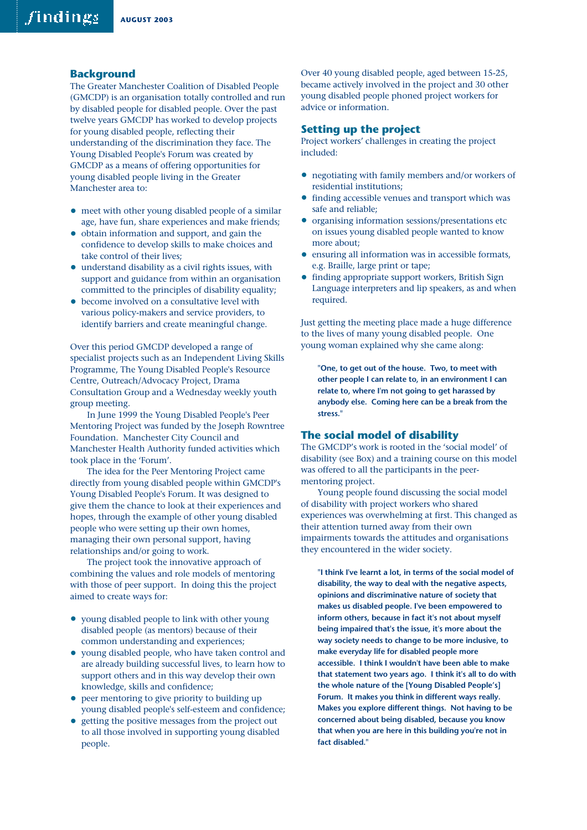#### **Background**

The Greater Manchester Coalition of Disabled People (GMCDP) is an organisation totally controlled and run by disabled people for disabled people. Over the past twelve years GMCDP has worked to develop projects for young disabled people, reflecting their understanding of the discrimination they face. The Young Disabled People's Forum was created by GMCDP as a means of offering opportunities for young disabled people living in the Greater Manchester area to:

- meet with other young disabled people of a similar age, have fun, share experiences and make friends;
- obtain information and support, and gain the confidence to develop skills to make choices and take control of their lives;
- understand disability as a civil rights issues, with support and guidance from within an organisation committed to the principles of disability equality;
- become involved on a consultative level with various policy-makers and service providers, to identify barriers and create meaningful change.

Over this period GMCDP developed a range of specialist projects such as an Independent Living Skills Programme, The Young Disabled People's Resource Centre, Outreach/Advocacy Project, Drama Consultation Group and a Wednesday weekly youth group meeting.

In June 1999 the Young Disabled People's Peer Mentoring Project was funded by the Joseph Rowntree Foundation. Manchester City Council and Manchester Health Authority funded activities which took place in the 'Forum'.

The idea for the Peer Mentoring Project came directly from young disabled people within GMCDP's Young Disabled People's Forum. It was designed to give them the chance to look at their experiences and hopes, through the example of other young disabled people who were setting up their own homes, managing their own personal support, having relationships and/or going to work.

The project took the innovative approach of combining the values and role models of mentoring with those of peer support. In doing this the project aimed to create ways for:

- young disabled people to link with other young disabled people (as mentors) because of their common understanding and experiences;
- young disabled people, who have taken control and are already building successful lives, to learn how to support others and in this way develop their own knowledge, skills and confidence;
- peer mentoring to give priority to building up young disabled people's self-esteem and confidence;
- getting the positive messages from the project out to all those involved in supporting young disabled people.

Over 40 young disabled people, aged between 15-25, became actively involved in the project and 30 other young disabled people phoned project workers for advice or information.

#### **Setting up the project**

Project workers' challenges in creating the project included:

- negotiating with family members and/or workers of residential institutions;
- finding accessible venues and transport which was safe and reliable;
- organising information sessions/presentations etc on issues young disabled people wanted to know more about;
- ensuring all information was in accessible formats, e.g. Braille, large print or tape;
- finding appropriate support workers, British Sign Language interpreters and lip speakers, as and when required.

Just getting the meeting place made a huge difference to the lives of many young disabled people. One young woman explained why she came along:

**"One, to get out of the house. Two, to meet with other people I can relate to, in an environment I can relate to, where I'm not going to get harassed by anybody else. Coming here can be a break from the stress."**

#### **The social model of disability**

The GMCDP's work is rooted in the 'social model' of disability (see Box) and a training course on this model was offered to all the participants in the peermentoring project.

Young people found discussing the social model of disability with project workers who shared experiences was overwhelming at first. This changed as their attention turned away from their own impairments towards the attitudes and organisations they encountered in the wider society.

**"I think I've learnt a lot, in terms of the social model of disability, the way to deal with the negative aspects, opinions and discriminative nature of society that makes us disabled people. I've been empowered to inform others, because in fact it's not about myself being impaired that's the issue, it's more about the way society needs to change to be more inclusive, to make everyday life for disabled people more accessible. I think I wouldn't have been able to make that statement two years ago. I think it's all to do with the whole nature of the [Young Disabled People's] Forum. It makes you think in different ways really. Makes you explore different things. Not having to be concerned about being disabled, because you know that when you are here in this building you're not in fact disabled."**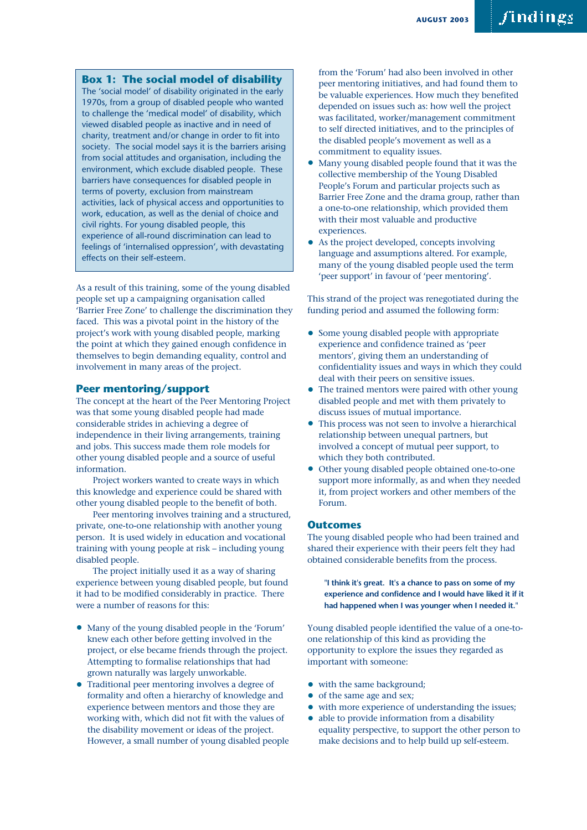#### **Box 1: The social model of disability**

The 'social model' of disability originated in the early 1970s, from a group of disabled people who wanted to challenge the 'medical model' of disability, which viewed disabled people as inactive and in need of charity, treatment and/or change in order to fit into society. The social model says it is the barriers arising from social attitudes and organisation, including the environment, which exclude disabled people. These barriers have consequences for disabled people in terms of poverty, exclusion from mainstream activities, lack of physical access and opportunities to work, education, as well as the denial of choice and civil rights. For young disabled people, this experience of all-round discrimination can lead to feelings of 'internalised oppression', with devastating effects on their self-esteem.

As a result of this training, some of the young disabled people set up a campaigning organisation called 'Barrier Free Zone' to challenge the discrimination they faced. This was a pivotal point in the history of the project's work with young disabled people, marking the point at which they gained enough confidence in themselves to begin demanding equality, control and involvement in many areas of the project.

#### **Peer mentoring/support**

The concept at the heart of the Peer Mentoring Project was that some young disabled people had made considerable strides in achieving a degree of independence in their living arrangements, training and jobs. This success made them role models for other young disabled people and a source of useful information.

Project workers wanted to create ways in which this knowledge and experience could be shared with other young disabled people to the benefit of both.

Peer mentoring involves training and a structured, private, one-to-one relationship with another young person. It is used widely in education and vocational training with young people at risk – including young disabled people.

The project initially used it as a way of sharing experience between young disabled people, but found it had to be modified considerably in practice. There were a number of reasons for this:

- Many of the young disabled people in the 'Forum' knew each other before getting involved in the project, or else became friends through the project. Attempting to formalise relationships that had grown naturally was largely unworkable.
- Traditional peer mentoring involves a degree of formality and often a hierarchy of knowledge and experience between mentors and those they are working with, which did not fit with the values of the disability movement or ideas of the project. However, a small number of young disabled people

from the 'Forum' had also been involved in other peer mentoring initiatives, and had found them to be valuable experiences. How much they benefited depended on issues such as: how well the project was facilitated, worker/management commitment to self directed initiatives, and to the principles of the disabled people's movement as well as a commitment to equality issues.

- Many young disabled people found that it was the collective membership of the Young Disabled People's Forum and particular projects such as Barrier Free Zone and the drama group, rather than a one-to-one relationship, which provided them with their most valuable and productive experiences.
- As the project developed, concepts involving language and assumptions altered. For example, many of the young disabled people used the term 'peer support' in favour of 'peer mentoring'.

This strand of the project was renegotiated during the funding period and assumed the following form:

- Some young disabled people with appropriate experience and confidence trained as 'peer mentors', giving them an understanding of confidentiality issues and ways in which they could deal with their peers on sensitive issues.
- The trained mentors were paired with other young disabled people and met with them privately to discuss issues of mutual importance.
- This process was not seen to involve a hierarchical relationship between unequal partners, but involved a concept of mutual peer support, to which they both contributed.
- Other young disabled people obtained one-to-one support more informally, as and when they needed it, from project workers and other members of the Forum.

#### **Outcomes**

The young disabled people who had been trained and shared their experience with their peers felt they had obtained considerable benefits from the process.

**"I think it's great. It's a chance to pass on some of my experience and confidence and I would have liked it if it had happened when I was younger when I needed it."**

Young disabled people identified the value of a one-toone relationship of this kind as providing the opportunity to explore the issues they regarded as important with someone:

- with the same background;
- of the same age and sex;
- with more experience of understanding the issues;
- able to provide information from a disability equality perspective, to support the other person to make decisions and to help build up self-esteem.